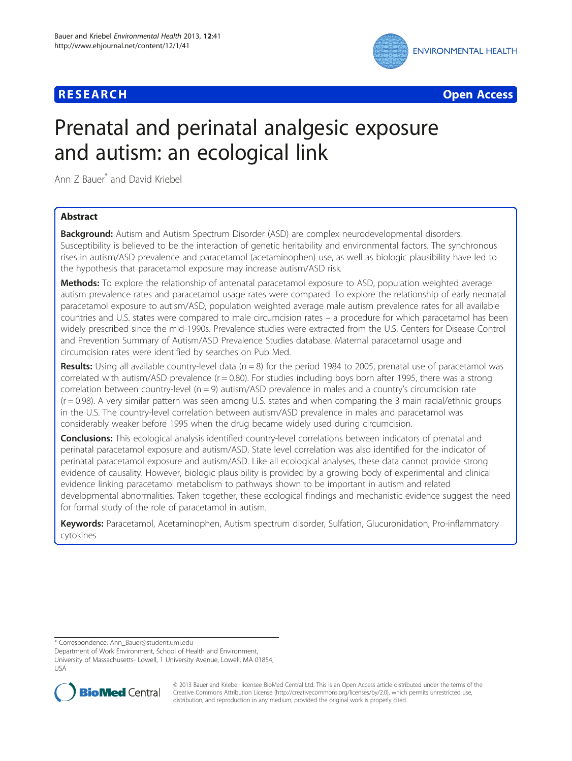



# Prenatal and perinatal analgesic exposure and autism: an ecological link

Ann Z Bauer\* and David Kriebel

# Abstract

**Background:** Autism and Autism Spectrum Disorder (ASD) are complex neurodevelopmental disorders. Susceptibility is believed to be the interaction of genetic heritability and environmental factors. The synchronous rises in autism/ASD prevalence and paracetamol (acetaminophen) use, as well as biologic plausibility have led to the hypothesis that paracetamol exposure may increase autism/ASD risk.

**Methods:** To explore the relationship of antenatal paracetamol exposure to ASD, population weighted average autism prevalence rates and paracetamol usage rates were compared. To explore the relationship of early neonatal paracetamol exposure to autism/ASD, population weighted average male autism prevalence rates for all available countries and U.S. states were compared to male circumcision rates – a procedure for which paracetamol has been widely prescribed since the mid-1990s. Prevalence studies were extracted from the U.S. Centers for Disease Control and Prevention Summary of Autism/ASD Prevalence Studies database. Maternal paracetamol usage and circumcision rates were identified by searches on Pub Med.

Results: Using all available country-level data ( $n = 8$ ) for the period 1984 to 2005, prenatal use of paracetamol was correlated with autism/ASD prevalence  $(r = 0.80)$ . For studies including boys born after 1995, there was a strong correlation between country-level  $(n = 9)$  autism/ASD prevalence in males and a country's circumcision rate  $(r = 0.98)$ . A very similar pattern was seen among U.S. states and when comparing the 3 main racial/ethnic groups in the U.S. The country-level correlation between autism/ASD prevalence in males and paracetamol was considerably weaker before 1995 when the drug became widely used during circumcision.

**Conclusions:** This ecological analysis identified country-level correlations between indicators of prenatal and perinatal paracetamol exposure and autism/ASD. State level correlation was also identified for the indicator of perinatal paracetamol exposure and autism/ASD. Like all ecological analyses, these data cannot provide strong evidence of causality. However, biologic plausibility is provided by a growing body of experimental and clinical evidence linking paracetamol metabolism to pathways shown to be important in autism and related developmental abnormalities. Taken together, these ecological findings and mechanistic evidence suggest the need for formal study of the role of paracetamol in autism.

Keywords: Paracetamol, Acetaminophen, Autism spectrum disorder, Sulfation, Glucuronidation, Pro-inflammatory cytokines

\* Correspondence: [Ann\\_Bauer@student.uml.edu](mailto:Ann_Bauer@student.uml.edu)

Department of Work Environment, School of Health and Environment, University of Massachusetts- Lowell, 1 University Avenue, Lowell, MA 01854, USA



© 2013 Bauer and Kriebel; licensee BioMed Central Ltd. This is an Open Access article distributed under the terms of the Creative Commons Attribution License (<http://creativecommons.org/licenses/by/2.0>), which permits unrestricted use, distribution, and reproduction in any medium, provided the original work is properly cited.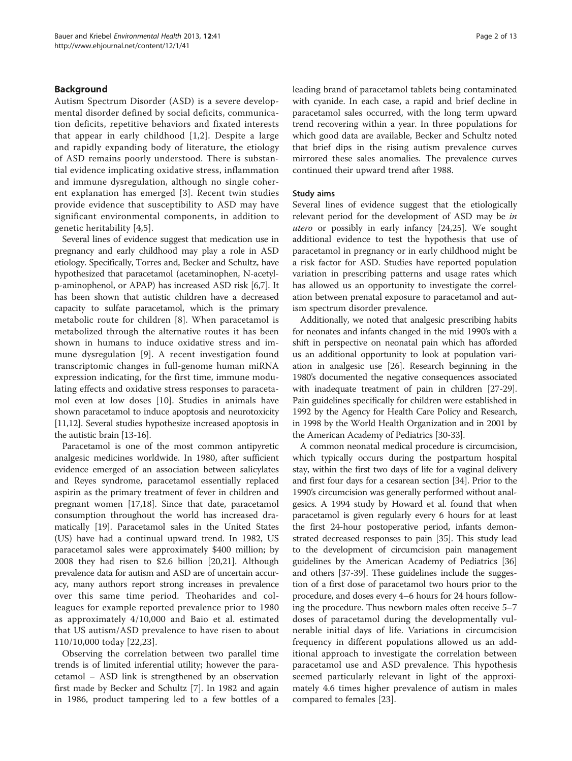# Background

Autism Spectrum Disorder (ASD) is a severe developmental disorder defined by social deficits, communication deficits, repetitive behaviors and fixated interests that appear in early childhood [[1,2](#page-8-0)]. Despite a large and rapidly expanding body of literature, the etiology of ASD remains poorly understood. There is substantial evidence implicating oxidative stress, inflammation and immune dysregulation, although no single coherent explanation has emerged [\[3](#page-8-0)]. Recent twin studies provide evidence that susceptibility to ASD may have significant environmental components, in addition to genetic heritability [[4,5](#page-8-0)].

Several lines of evidence suggest that medication use in pregnancy and early childhood may play a role in ASD etiology. Specifically, Torres and, Becker and Schultz, have hypothesized that paracetamol (acetaminophen, N-acetylp-aminophenol, or APAP) has increased ASD risk [\[6,7](#page-8-0)]. It has been shown that autistic children have a decreased capacity to sulfate paracetamol, which is the primary metabolic route for children [[8](#page-8-0)]. When paracetamol is metabolized through the alternative routes it has been shown in humans to induce oxidative stress and immune dysregulation [[9\]](#page-8-0). A recent investigation found transcriptomic changes in full-genome human miRNA expression indicating, for the first time, immune modulating effects and oxidative stress responses to paracetamol even at low doses [[10\]](#page-8-0). Studies in animals have shown paracetamol to induce apoptosis and neurotoxicity [[11,12](#page-8-0)]. Several studies hypothesize increased apoptosis in the autistic brain [\[13](#page-8-0)-[16](#page-8-0)].

Paracetamol is one of the most common antipyretic analgesic medicines worldwide. In 1980, after sufficient evidence emerged of an association between salicylates and Reyes syndrome, paracetamol essentially replaced aspirin as the primary treatment of fever in children and pregnant women [\[17,18](#page-8-0)]. Since that date, paracetamol consumption throughout the world has increased dramatically [[19\]](#page-8-0). Paracetamol sales in the United States (US) have had a continual upward trend. In 1982, US paracetamol sales were approximately \$400 million; by 2008 they had risen to \$2.6 billion [[20](#page-8-0),[21](#page-8-0)]. Although prevalence data for autism and ASD are of uncertain accuracy, many authors report strong increases in prevalence over this same time period. Theoharides and colleagues for example reported prevalence prior to 1980 as approximately 4/10,000 and Baio et al. estimated that US autism/ASD prevalence to have risen to about 110/10,000 today [\[22,23](#page-8-0)].

Observing the correlation between two parallel time trends is of limited inferential utility; however the paracetamol – ASD link is strengthened by an observation first made by Becker and Schultz [\[7](#page-8-0)]. In 1982 and again in 1986, product tampering led to a few bottles of a leading brand of paracetamol tablets being contaminated with cyanide. In each case, a rapid and brief decline in paracetamol sales occurred, with the long term upward trend recovering within a year. In three populations for which good data are available, Becker and Schultz noted that brief dips in the rising autism prevalence curves mirrored these sales anomalies. The prevalence curves continued their upward trend after 1988.

#### Study aims

Several lines of evidence suggest that the etiologically relevant period for the development of ASD may be in utero or possibly in early infancy [\[24,25\]](#page-8-0). We sought additional evidence to test the hypothesis that use of paracetamol in pregnancy or in early childhood might be a risk factor for ASD. Studies have reported population variation in prescribing patterns and usage rates which has allowed us an opportunity to investigate the correlation between prenatal exposure to paracetamol and autism spectrum disorder prevalence.

Additionally, we noted that analgesic prescribing habits for neonates and infants changed in the mid 1990's with a shift in perspective on neonatal pain which has afforded us an additional opportunity to look at population variation in analgesic use [\[26](#page-8-0)]. Research beginning in the 1980's documented the negative consequences associated with inadequate treatment of pain in children [[27](#page-8-0)-[29](#page-8-0)]. Pain guidelines specifically for children were established in 1992 by the Agency for Health Care Policy and Research, in 1998 by the World Health Organization and in 2001 by the American Academy of Pediatrics [\[30-33](#page-8-0)].

A common neonatal medical procedure is circumcision, which typically occurs during the postpartum hospital stay, within the first two days of life for a vaginal delivery and first four days for a cesarean section [\[34\]](#page-8-0). Prior to the 1990's circumcision was generally performed without analgesics. A 1994 study by Howard et al. found that when paracetamol is given regularly every 6 hours for at least the first 24-hour postoperative period, infants demonstrated decreased responses to pain [\[35\]](#page-8-0). This study lead to the development of circumcision pain management guidelines by the American Academy of Pediatrics [[36](#page-8-0)] and others [\[37](#page-8-0)-[39](#page-8-0)]. These guidelines include the suggestion of a first dose of paracetamol two hours prior to the procedure, and doses every 4–6 hours for 24 hours following the procedure. Thus newborn males often receive 5–7 doses of paracetamol during the developmentally vulnerable initial days of life. Variations in circumcision frequency in different populations allowed us an additional approach to investigate the correlation between paracetamol use and ASD prevalence. This hypothesis seemed particularly relevant in light of the approximately 4.6 times higher prevalence of autism in males compared to females [\[23](#page-8-0)].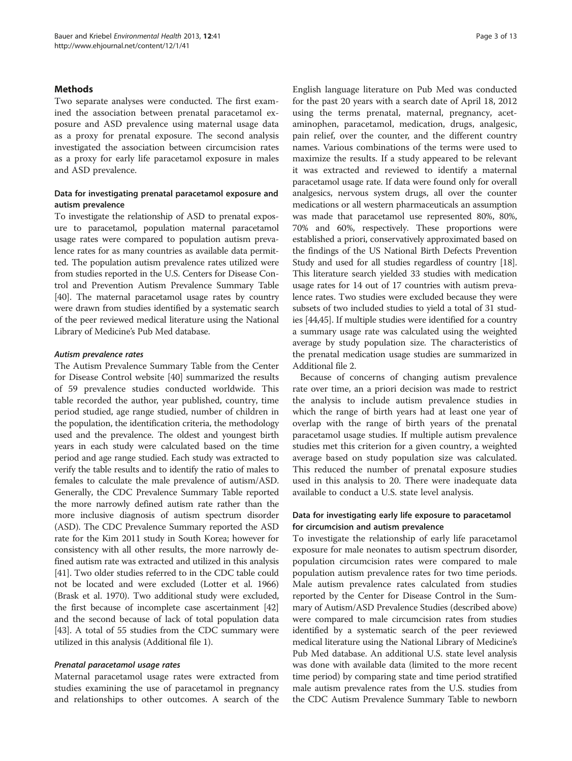### **Methods**

Two separate analyses were conducted. The first examined the association between prenatal paracetamol exposure and ASD prevalence using maternal usage data as a proxy for prenatal exposure. The second analysis investigated the association between circumcision rates as a proxy for early life paracetamol exposure in males and ASD prevalence.

# Data for investigating prenatal paracetamol exposure and autism prevalence

To investigate the relationship of ASD to prenatal exposure to paracetamol, population maternal paracetamol usage rates were compared to population autism prevalence rates for as many countries as available data permitted. The population autism prevalence rates utilized were from studies reported in the U.S. Centers for Disease Control and Prevention Autism Prevalence Summary Table [[40](#page-8-0)]. The maternal paracetamol usage rates by country were drawn from studies identified by a systematic search of the peer reviewed medical literature using the National Library of Medicine's Pub Med database.

The Autism Prevalence Summary Table from the Center for Disease Control website [[40](#page-8-0)] summarized the results of 59 prevalence studies conducted worldwide. This table recorded the author, year published, country, time period studied, age range studied, number of children in the population, the identification criteria, the methodology used and the prevalence. The oldest and youngest birth years in each study were calculated based on the time period and age range studied. Each study was extracted to verify the table results and to identify the ratio of males to females to calculate the male prevalence of autism/ASD. Generally, the CDC Prevalence Summary Table reported the more narrowly defined autism rate rather than the more inclusive diagnosis of autism spectrum disorder (ASD). The CDC Prevalence Summary reported the ASD rate for the Kim 2011 study in South Korea; however for consistency with all other results, the more narrowly defined autism rate was extracted and utilized in this analysis [[41](#page-8-0)]. Two older studies referred to in the CDC table could not be located and were excluded (Lotter et al. 1966) (Brask et al. 1970). Two additional study were excluded, the first because of incomplete case ascertainment [[42](#page-9-0)] and the second because of lack of total population data [[43](#page-9-0)]. A total of 55 studies from the CDC summary were utilized in this analysis (Additional file [1\)](#page-7-0).

Maternal paracetamol usage rates were extracted from studies examining the use of paracetamol in pregnancy and relationships to other outcomes. A search of the English language literature on Pub Med was conducted for the past 20 years with a search date of April 18, 2012 using the terms prenatal, maternal, pregnancy, acetaminophen, paracetamol, medication, drugs, analgesic, pain relief, over the counter, and the different country names. Various combinations of the terms were used to maximize the results. If a study appeared to be relevant it was extracted and reviewed to identify a maternal paracetamol usage rate. If data were found only for overall analgesics, nervous system drugs, all over the counter medications or all western pharmaceuticals an assumption was made that paracetamol use represented 80%, 80%, 70% and 60%, respectively. These proportions were established a priori, conservatively approximated based on the findings of the US National Birth Defects Prevention Study and used for all studies regardless of country [[18](#page-8-0)]. This literature search yielded 33 studies with medication usage rates for 14 out of 17 countries with autism prevalence rates. Two studies were excluded because they were subsets of two included studies to yield a total of 31 studies [\[44,45](#page-9-0)]. If multiple studies were identified for a country a summary usage rate was calculated using the weighted average by study population size. The characteristics of the prenatal medication usage studies are summarized in Additional file [2](#page-7-0).

Because of concerns of changing autism prevalence rate over time, an a priori decision was made to restrict the analysis to include autism prevalence studies in which the range of birth years had at least one year of overlap with the range of birth years of the prenatal paracetamol usage studies. If multiple autism prevalence studies met this criterion for a given country, a weighted average based on study population size was calculated. This reduced the number of prenatal exposure studies used in this analysis to 20. There were inadequate data available to conduct a U.S. state level analysis.

# Data for investigating early life exposure to paracetamol for circumcision and autism prevalence

To investigate the relationship of early life paracetamol exposure for male neonates to autism spectrum disorder, population circumcision rates were compared to male population autism prevalence rates for two time periods. Male autism prevalence rates calculated from studies reported by the Center for Disease Control in the Summary of Autism/ASD Prevalence Studies (described above) were compared to male circumcision rates from studies identified by a systematic search of the peer reviewed medical literature using the National Library of Medicine's Pub Med database. An additional U.S. state level analysis was done with available data (limited to the more recent time period) by comparing state and time period stratified male autism prevalence rates from the U.S. studies from the CDC Autism Prevalence Summary Table to newborn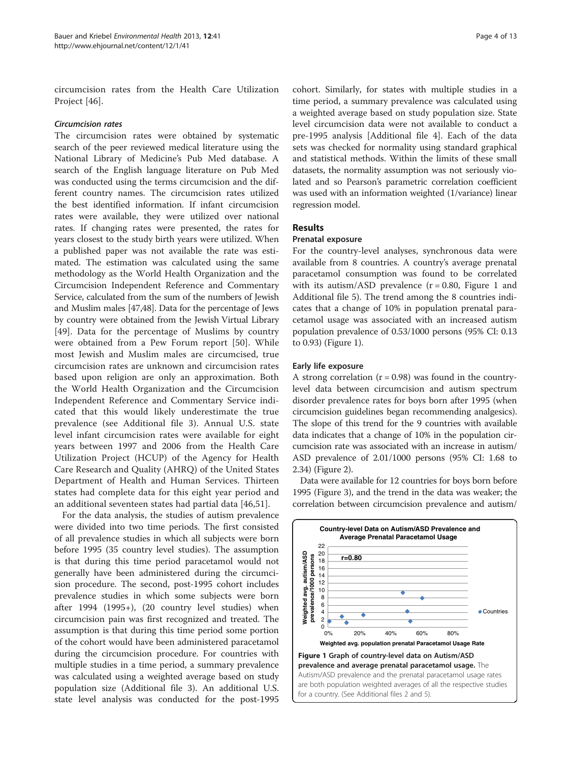<span id="page-3-0"></span>circumcision rates from the Health Care Utilization Project [\[46](#page-9-0)].

The circumcision rates were obtained by systematic search of the peer reviewed medical literature using the National Library of Medicine's Pub Med database. A search of the English language literature on Pub Med was conducted using the terms circumcision and the different country names. The circumcision rates utilized the best identified information. If infant circumcision rates were available, they were utilized over national rates. If changing rates were presented, the rates for years closest to the study birth years were utilized. When a published paper was not available the rate was estimated. The estimation was calculated using the same methodology as the World Health Organization and the Circumcision Independent Reference and Commentary Service, calculated from the sum of the numbers of Jewish and Muslim males [\[47,48\]](#page-9-0). Data for the percentage of Jews by country were obtained from the Jewish Virtual Library [[49\]](#page-9-0). Data for the percentage of Muslims by country were obtained from a Pew Forum report [[50](#page-9-0)]. While most Jewish and Muslim males are circumcised, true circumcision rates are unknown and circumcision rates based upon religion are only an approximation. Both the World Health Organization and the Circumcision Independent Reference and Commentary Service indicated that this would likely underestimate the true prevalence (see Additional file [3](#page-7-0)). Annual U.S. state level infant circumcision rates were available for eight years between 1997 and 2006 from the Health Care Utilization Project (HCUP) of the Agency for Health Care Research and Quality (AHRQ) of the United States Department of Health and Human Services. Thirteen states had complete data for this eight year period and an additional seventeen states had partial data [[46,51\]](#page-9-0).

For the data analysis, the studies of autism prevalence were divided into two time periods. The first consisted of all prevalence studies in which all subjects were born before 1995 (35 country level studies). The assumption is that during this time period paracetamol would not generally have been administered during the circumcision procedure. The second, post-1995 cohort includes prevalence studies in which some subjects were born after 1994 (1995+), (20 country level studies) when circumcision pain was first recognized and treated. The assumption is that during this time period some portion of the cohort would have been administered paracetamol during the circumcision procedure. For countries with multiple studies in a time period, a summary prevalence was calculated using a weighted average based on study population size (Additional file [3](#page-7-0)). An additional U.S. state level analysis was conducted for the post-1995

cohort. Similarly, for states with multiple studies in a time period, a summary prevalence was calculated using a weighted average based on study population size. State level circumcision data were not available to conduct a pre-1995 analysis [Additional file [4\]](#page-7-0). Each of the data sets was checked for normality using standard graphical and statistical methods. Within the limits of these small datasets, the normality assumption was not seriously violated and so Pearson's parametric correlation coefficient was used with an information weighted (1/variance) linear regression model.

### Results

#### Prenatal exposure

For the country-level analyses, synchronous data were available from 8 countries. A country's average prenatal paracetamol consumption was found to be correlated with its autism/ASD prevalence  $(r = 0.80,$  Figure 1 and Additional file [5](#page-7-0)). The trend among the 8 countries indicates that a change of 10% in population prenatal paracetamol usage was associated with an increased autism population prevalence of 0.53/1000 persons (95% CI: 0.13 to 0.93) (Figure 1).

#### Early life exposure

A strong correlation  $(r = 0.98)$  was found in the countrylevel data between circumcision and autism spectrum disorder prevalence rates for boys born after 1995 (when circumcision guidelines began recommending analgesics). The slope of this trend for the 9 countries with available data indicates that a change of 10% in the population circumcision rate was associated with an increase in autism/ ASD prevalence of 2.01/1000 persons (95% CI: 1.68 to 2.34) (Figure [2\)](#page-4-0).

Data were available for 12 countries for boys born before 1995 (Figure [3](#page-4-0)), and the trend in the data was weaker; the correlation between circumcision prevalence and autism/

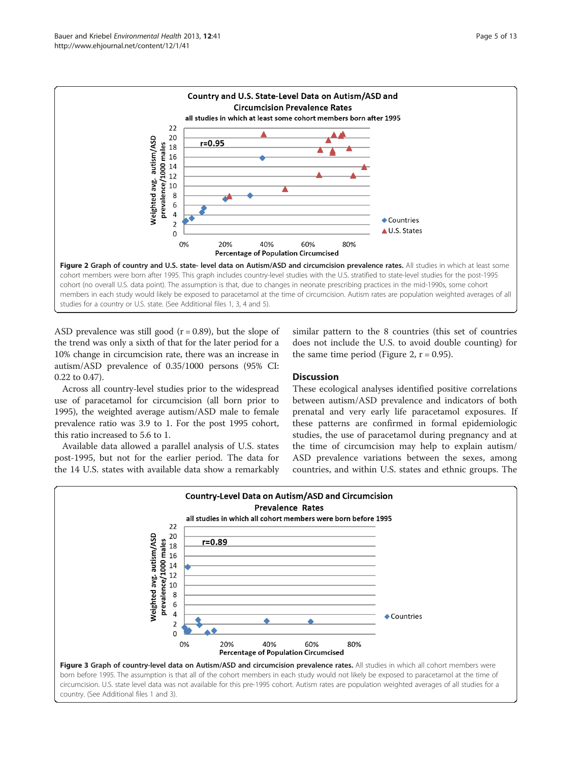<span id="page-4-0"></span>

ASD prevalence was still good  $(r = 0.89)$ , but the slope of the trend was only a sixth of that for the later period for a 10% change in circumcision rate, there was an increase in autism/ASD prevalence of 0.35/1000 persons (95% CI: 0.22 to 0.47).

Across all country-level studies prior to the widespread use of paracetamol for circumcision (all born prior to 1995), the weighted average autism/ASD male to female prevalence ratio was 3.9 to 1. For the post 1995 cohort, this ratio increased to 5.6 to 1.

Available data allowed a parallel analysis of U.S. states post-1995, but not for the earlier period. The data for the 14 U.S. states with available data show a remarkably similar pattern to the 8 countries (this set of countries does not include the U.S. to avoid double counting) for the same time period (Figure 2,  $r = 0.95$ ).

# **Discussion**

These ecological analyses identified positive correlations between autism/ASD prevalence and indicators of both prenatal and very early life paracetamol exposures. If these patterns are confirmed in formal epidemiologic studies, the use of paracetamol during pregnancy and at the time of circumcision may help to explain autism/ ASD prevalence variations between the sexes, among countries, and within U.S. states and ethnic groups. The



circumcision. U.S. state level data was not available for this pre-1995 cohort. Autism rates are population weighted averages of all studies for a country. (See Additional files [1](#page-7-0) and [3\)](#page-7-0).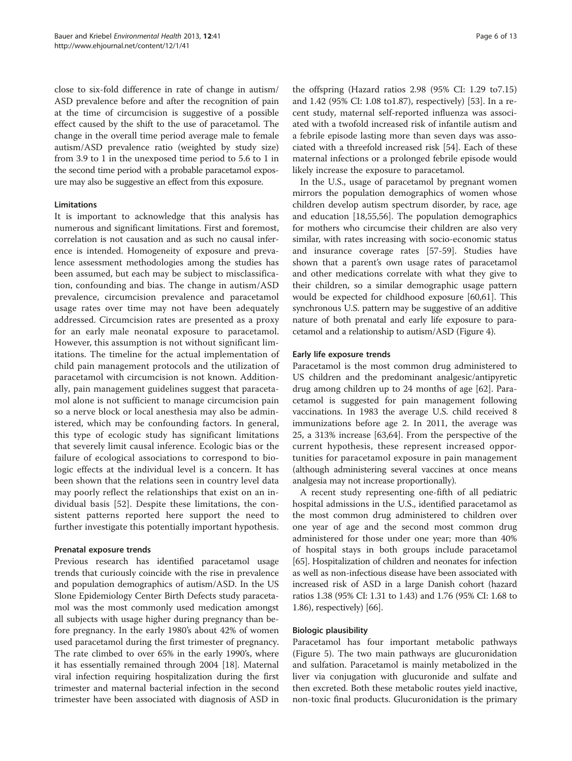close to six-fold difference in rate of change in autism/ ASD prevalence before and after the recognition of pain at the time of circumcision is suggestive of a possible effect caused by the shift to the use of paracetamol. The change in the overall time period average male to female autism/ASD prevalence ratio (weighted by study size) from 3.9 to 1 in the unexposed time period to 5.6 to 1 in the second time period with a probable paracetamol exposure may also be suggestive an effect from this exposure.

#### Limitations

It is important to acknowledge that this analysis has numerous and significant limitations. First and foremost, correlation is not causation and as such no causal inference is intended. Homogeneity of exposure and prevalence assessment methodologies among the studies has been assumed, but each may be subject to misclassification, confounding and bias. The change in autism/ASD prevalence, circumcision prevalence and paracetamol usage rates over time may not have been adequately addressed. Circumcision rates are presented as a proxy for an early male neonatal exposure to paracetamol. However, this assumption is not without significant limitations. The timeline for the actual implementation of child pain management protocols and the utilization of paracetamol with circumcision is not known. Additionally, pain management guidelines suggest that paracetamol alone is not sufficient to manage circumcision pain so a nerve block or local anesthesia may also be administered, which may be confounding factors. In general, this type of ecologic study has significant limitations that severely limit causal inference. Ecologic bias or the failure of ecological associations to correspond to biologic effects at the individual level is a concern. It has been shown that the relations seen in country level data may poorly reflect the relationships that exist on an individual basis [[52\]](#page-9-0). Despite these limitations, the consistent patterns reported here support the need to further investigate this potentially important hypothesis.

#### Prenatal exposure trends

Previous research has identified paracetamol usage trends that curiously coincide with the rise in prevalence and population demographics of autism/ASD. In the US Slone Epidemiology Center Birth Defects study paracetamol was the most commonly used medication amongst all subjects with usage higher during pregnancy than before pregnancy. In the early 1980's about 42% of women used paracetamol during the first trimester of pregnancy. The rate climbed to over 65% in the early 1990's, where it has essentially remained through 2004 [\[18](#page-8-0)]. Maternal viral infection requiring hospitalization during the first trimester and maternal bacterial infection in the second trimester have been associated with diagnosis of ASD in

the offspring (Hazard ratios 2.98 (95% CI: 1.29 to7.15) and 1.42 (95% CI: 1.08 to1.87), respectively) [\[53\]](#page-9-0). In a recent study, maternal self-reported influenza was associated with a twofold increased risk of infantile autism and a febrile episode lasting more than seven days was associated with a threefold increased risk [[54](#page-9-0)]. Each of these maternal infections or a prolonged febrile episode would likely increase the exposure to paracetamol.

In the U.S., usage of paracetamol by pregnant women mirrors the population demographics of women whose children develop autism spectrum disorder, by race, age and education [[18](#page-8-0),[55](#page-9-0),[56](#page-9-0)]. The population demographics for mothers who circumcise their children are also very similar, with rates increasing with socio-economic status and insurance coverage rates [\[57-59](#page-9-0)]. Studies have shown that a parent's own usage rates of paracetamol and other medications correlate with what they give to their children, so a similar demographic usage pattern would be expected for childhood exposure [[60,61](#page-9-0)]. This synchronous U.S. pattern may be suggestive of an additive nature of both prenatal and early life exposure to paracetamol and a relationship to autism/ASD (Figure [4](#page-6-0)).

#### Early life exposure trends

Paracetamol is the most common drug administered to US children and the predominant analgesic/antipyretic drug among children up to 24 months of age [[62](#page-9-0)]. Paracetamol is suggested for pain management following vaccinations. In 1983 the average U.S. child received 8 immunizations before age 2. In 2011, the average was 25, a 313% increase [[63,64](#page-9-0)]. From the perspective of the current hypothesis, these represent increased opportunities for paracetamol exposure in pain management (although administering several vaccines at once means analgesia may not increase proportionally).

A recent study representing one-fifth of all pediatric hospital admissions in the U.S., identified paracetamol as the most common drug administered to children over one year of age and the second most common drug administered for those under one year; more than 40% of hospital stays in both groups include paracetamol [[65](#page-9-0)]. Hospitalization of children and neonates for infection as well as non-infectious disease have been associated with increased risk of ASD in a large Danish cohort (hazard ratios 1.38 (95% CI: 1.31 to 1.43) and 1.76 (95% CI: 1.68 to 1.86), respectively) [\[66\]](#page-9-0).

#### Biologic plausibility

Paracetamol has four important metabolic pathways (Figure [5\)](#page-6-0). The two main pathways are glucuronidation and sulfation. Paracetamol is mainly metabolized in the liver via conjugation with glucuronide and sulfate and then excreted. Both these metabolic routes yield inactive, non-toxic final products. Glucuronidation is the primary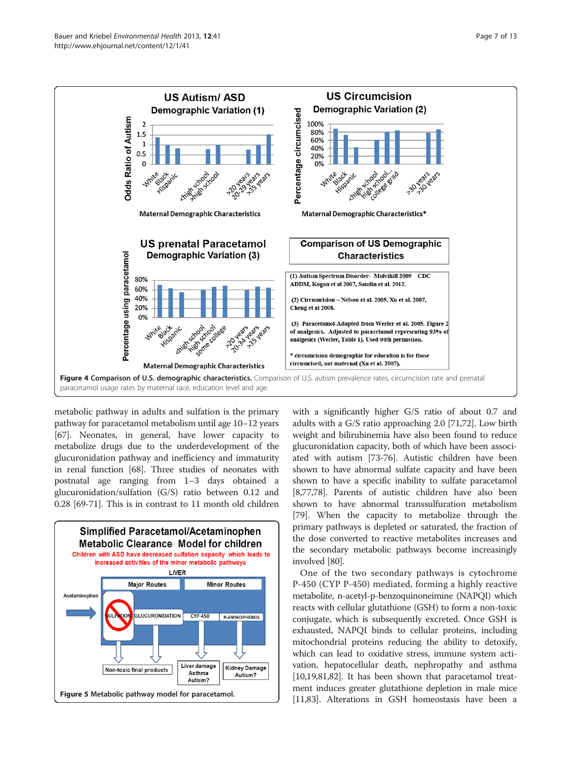<span id="page-6-0"></span>

metabolic pathway in adults and sulfation is the primary pathway for paracetamol metabolism until age 10–12 years [[67](#page-9-0)]. Neonates, in general, have lower capacity to metabolize drugs due to the underdevelopment of the glucuronidation pathway and inefficiency and immaturity in renal function [\[68\]](#page-9-0). Three studies of neonates with postnatal age ranging from 1–3 days obtained a glucuronidation/sulfation (G/S) ratio between 0.12 and 0.28 [\[69](#page-9-0)-[71](#page-9-0)]. This is in contrast to 11 month old children



with a significantly higher G/S ratio of about 0.7 and adults with a G/S ratio approaching 2.0 [[71,72\]](#page-9-0). Low birth weight and bilirubinemia have also been found to reduce glucuronidation capacity, both of which have been associated with autism [\[73-76](#page-9-0)]. Autistic children have been shown to have abnormal sulfate capacity and have been shown to have a specific inability to sulfate paracetamol [[8,](#page-8-0)[77,78](#page-9-0)]. Parents of autistic children have also been shown to have abnormal transsulfuration metabolism [[79](#page-9-0)]. When the capacity to metabolize through the primary pathways is depleted or saturated, the fraction of the dose converted to reactive metabolites increases and the secondary metabolic pathways become increasingly involved [\[80\]](#page-9-0).

One of the two secondary pathways is cytochrome P-450 (CYP P-450) mediated, forming a highly reactive metabolite, n-acetyl-p-benzoquinoneimine (NAPQI) which reacts with cellular glutathione (GSH) to form a non-toxic conjugate, which is subsequently excreted. Once GSH is exhausted, NAPQI binds to cellular proteins, including mitochondrial proteins reducing the ability to detoxify, which can lead to oxidative stress, immune system activation, hepatocellular death, nephropathy and asthma [[10,19](#page-8-0)[,81,82](#page-9-0)]. It has been shown that paracetamol treatment induces greater glutathione depletion in male mice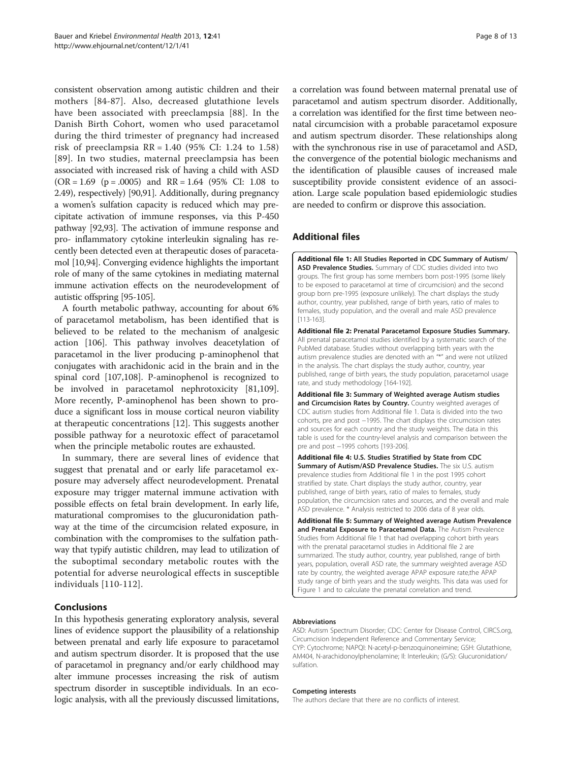<span id="page-7-0"></span>consistent observation among autistic children and their mothers [\[84-87](#page-9-0)]. Also, decreased glutathione levels have been associated with preeclampsia [[88](#page-9-0)]. In the Danish Birth Cohort, women who used paracetamol during the third trimester of pregnancy had increased risk of preeclampsia RR = 1.40 (95% CI: 1.24 to 1.58) [[89](#page-10-0)]. In two studies, maternal preeclampsia has been associated with increased risk of having a child with ASD  $(OR = 1.69 \text{ (p = .0005)}$  and  $RR = 1.64 \text{ (95\% CI: } 1.08 \text{ to } 1.01)$ 2.49), respectively) [[90,91](#page-10-0)]. Additionally, during pregnancy a women's sulfation capacity is reduced which may precipitate activation of immune responses, via this P-450 pathway [\[92,93\]](#page-10-0). The activation of immune response and pro- inflammatory cytokine interleukin signaling has recently been detected even at therapeutic doses of paracetamol [\[10,](#page-8-0)[94](#page-10-0)]. Converging evidence highlights the important role of many of the same cytokines in mediating maternal immune activation effects on the neurodevelopment of autistic offspring [\[95-105](#page-10-0)].

A fourth metabolic pathway, accounting for about 6% of paracetamol metabolism, has been identified that is believed to be related to the mechanism of analgesic action [[106](#page-10-0)]. This pathway involves deacetylation of paracetamol in the liver producing p-aminophenol that conjugates with arachidonic acid in the brain and in the spinal cord [\[107,108\]](#page-10-0). P-aminophenol is recognized to be involved in paracetamol nephrotoxicity [[81](#page-9-0)[,109](#page-10-0)]. More recently, P-aminophenol has been shown to produce a significant loss in mouse cortical neuron viability at therapeutic concentrations [[12\]](#page-8-0). This suggests another possible pathway for a neurotoxic effect of paracetamol when the principle metabolic routes are exhausted.

In summary, there are several lines of evidence that suggest that prenatal and or early life paracetamol exposure may adversely affect neurodevelopment. Prenatal exposure may trigger maternal immune activation with possible effects on fetal brain development. In early life, maturational compromises to the glucuronidation pathway at the time of the circumcision related exposure, in combination with the compromises to the sulfation pathway that typify autistic children, may lead to utilization of the suboptimal secondary metabolic routes with the potential for adverse neurological effects in susceptible individuals [[110](#page-10-0)-[112](#page-10-0)].

# Conclusions

In this hypothesis generating exploratory analysis, several lines of evidence support the plausibility of a relationship between prenatal and early life exposure to paracetamol and autism spectrum disorder. It is proposed that the use of paracetamol in pregnancy and/or early childhood may alter immune processes increasing the risk of autism spectrum disorder in susceptible individuals. In an ecologic analysis, with all the previously discussed limitations,

a correlation was found between maternal prenatal use of paracetamol and autism spectrum disorder. Additionally, a correlation was identified for the first time between neonatal circumcision with a probable paracetamol exposure and autism spectrum disorder. These relationships along with the synchronous rise in use of paracetamol and ASD, the convergence of the potential biologic mechanisms and the identification of plausible causes of increased male susceptibility provide consistent evidence of an association. Large scale population based epidemiologic studies are needed to confirm or disprove this association.

### Additional files

[Additional file 1:](http://www.biomedcentral.com/content/supplementary/1476-069X-12-41-S1.xlsx) All Studies Reported in CDC Summary of Autism/ ASD Prevalence Studies. Summary of CDC studies divided into two groups. The first group has some members born post-1995 (some likely to be exposed to paracetamol at time of circumcision) and the second group born pre-1995 (exposure unlikely). The chart displays the study author, country, year published, range of birth years, ratio of males to females, study population, and the overall and male ASD prevalence [[113-](#page-10-0)[163\]](#page-11-0).

[Additional file 2:](http://www.biomedcentral.com/content/supplementary/1476-069X-12-41-S2.xlsx) Prenatal Paracetamol Exposure Studies Summary. All prenatal paracetamol studies identified by a systematic search of the PubMed database. Studies without overlapping birth years with the autism prevalence studies are denoted with an "\*" and were not utilized in the analysis. The chart displays the study author, country, year published, range of birth years, the study population, paracetamol usage rate, and study methodology [\[164](#page-11-0)[-192\]](#page-12-0).

[Additional file 3:](http://www.biomedcentral.com/content/supplementary/1476-069X-12-41-S3.xlsx) Summary of Weighted average Autism studies and Circumcision Rates by Country. Country weighted averages of CDC autism studies from Additional file 1. Data is divided into the two cohorts, pre and post −1995. The chart displays the circumcision rates and sources for each country and the study weights. The data in this table is used for the country-level analysis and comparison between the pre and post −1995 cohorts [[193-206\]](#page-12-0).

[Additional file 4:](http://www.biomedcentral.com/content/supplementary/1476-069X-12-41-S4.xlsx) U.S. Studies Stratified by State from CDC Summary of Autism/ASD Prevalence Studies. The six U.S. autism prevalence studies from Additional file 1 in the post 1995 cohort stratified by state. Chart displays the study author, country, year published, range of birth years, ratio of males to females, study population, the circumcision rates and sources, and the overall and male ASD prevalence. \* Analysis restricted to 2006 data of 8 year olds.

[Additional file 5:](http://www.biomedcentral.com/content/supplementary/1476-069X-12-41-S5.xlsx) Summary of Weighted average Autism Prevalence and Prenatal Exposure to Paracetamol Data. The Autism Prevalence Studies from Additional file 1 that had overlapping cohort birth years with the prenatal paracetamol studies in Additional file 2 are summarized. The study author, country, year published, range of birth years, population, overall ASD rate, the summary weighted average ASD rate by country, the weighted average APAP exposure rate,the APAP study range of birth years and the study weights. This data was used for Figure [1](#page-3-0) and to calculate the prenatal correlation and trend.

#### Abbreviations

ASD: Autism Spectrum Disorder; CDC: Center for Disease Control, CIRCS.org, Circumcision Independent Reference and Commentary Service; CYP: Cytochrome; NAPQI: N-acetyl-p-benzoquinoneimine; GSH: Glutathione, AM404, N-arachidonoylphenolamine; Il: Interleukin; (G/S): Glucuronidation/ sulfation.

#### Competing interests

The authors declare that there are no conflicts of interest.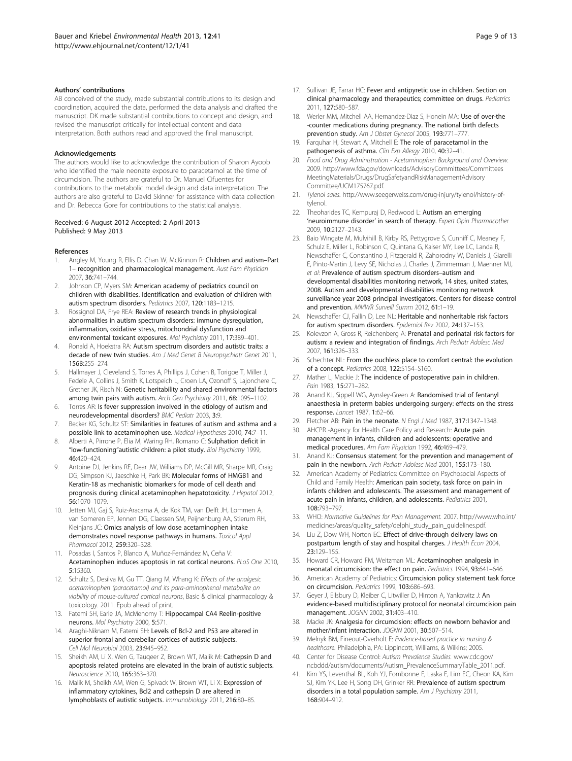#### <span id="page-8-0"></span>Authors' contributions

AB conceived of the study, made substantial contributions to its design and coordination, acquired the data, performed the data analysis and drafted the manuscript. DK made substantial contributions to concept and design, and revised the manuscript critically for intellectual content and data interpretation. Both authors read and approved the final manuscript.

#### Acknowledgements

The authors would like to acknowledge the contribution of Sharon Ayoob who identified the male neonate exposure to paracetamol at the time of circumcision. The authors are grateful to Dr. Manuel Cifuentes for contributions to the metabolic model design and data interpretation. The authors are also grateful to David Skinner for assistance with data collection and Dr. Rebecca Gore for contributions to the statistical analysis.

#### Received: 6 August 2012 Accepted: 2 April 2013 Published: 9 May 2013

#### References

- 1. Angley M, Young R, Ellis D, Chan W, McKinnon R: Children and autism-Part 1– recognition and pharmacological management. Aust Fam Physician 2007, 36:741–744.
- 2. Johnson CP, Myers SM: American academy of pediatrics council on children with disabilities. Identification and evaluation of children with autism spectrum disorders. Pediatrics 2007, 120:1183–1215.
- Rossignol DA, Frye REA: Review of research trends in physiological abnormalities in autism spectrum disorders: immune dysregulation, inflammation, oxidative stress, mitochondrial dysfunction and environmental toxicant exposures. Mol Psychiatry 2011, 17:389-401.
- 4. Ronald A, Hoekstra RA: Autism spectrum disorders and autistic traits: a decade of new twin studies. Am J Med Genet B Neuropsychiatr Genet 2011, 156B:255–274.
- 5. Hallmayer J, Cleveland S, Torres A, Phillips J, Cohen B, Torigoe T, Miller J, Fedele A, Collins J, Smith K, Lotspeich L, Croen LA, Ozonoff S, Lajonchere C, Grether JK, Risch N: Genetic heritability and shared environmental factors among twin pairs with autism. Arch Gen Psychiatry 2011, 68:1095–1102.
- 6. Torres AR: Is fever suppression involved in the etiology of autism and neurodevelopmental disorders? BMC Pediatr 2003, 3:9.
- 7. Becker KG, Schultz ST: Similarities in features of autism and asthma and a possible link to acetaminophen use. Medical Hypotheses 2010, 74:7–11.
- 8. Alberti A, Pirrone P, Elia M, Waring RH, Romano C: Sulphation deficit in "low-functioning"autistic children: a pilot study. Biol Psychiatry 1999, 46:420–424.
- 9. Antoine DJ, Jenkins RE, Dear JW, Williams DP, McGill MR, Sharpe MR, Craig DG, Simpson KJ, Jaeschke H, Park BK: Molecular forms of HMGB1 and Keratin-18 as mechanistic biomarkers for mode of cell death and prognosis during clinical acetaminophen hepatotoxicity. *J Hepatol 2012*, 56:1070–1079.
- 10. Jetten MJ, Gaj S, Ruiz-Aracama A, de Kok TM, van Delft JH, Lommen A, van Someren EP, Jennen DG, Claessen SM, Peijnenburg AA, Stierum RH, Kleinjans JC: Omics analysis of low dose acetaminophen intake demonstrates novel response pathways in humans. Toxicol Appl Pharmacol 2012, 259:320–328.
- 11. Posadas I, Santos P, Blanco A, Muñoz-Fernández M, Ceña V: Acetaminophen induces apoptosis in rat cortical neurons. PLoS One 2010, 5:15360.
- 12. Schultz S, Desilva M, Gu TT, Qiang M, Whang K: Effects of the analgesic acetaminophen (paracetamol) and its para-aminophenol metabolite on viability of mouse-cultured cortical neurons, Basic & clinical pharmacology & toxicology. 2011. Epub ahead of print.
- 13. Fatemi SH, Earle JA, McMenomy T: Hippocampal CA4 Reelin-positive neurons. Mol Psychiatry 2000, 5:571.
- 14. Araghi-Niknam M, Fatemi SH: Levels of Bcl-2 and P53 are altered in superior frontal and cerebellar cortices of autistic subjects. Cell Mol Neurobiol 2003, 23:945–952.
- 15. Sheikh AM, Li X, Wen G, Tauqeer Z, Brown WT, Malik M: Cathepsin D and apoptosis related proteins are elevated in the brain of autistic subjects. Neuroscience 2010, 165:363–370.
- 16. Malik M, Sheikh AM, Wen G, Spivack W, Brown WT, Li X: Expression of inflammatory cytokines, Bcl2 and cathepsin D are altered in lymphoblasts of autistic subjects. Immunobiology 2011, 216:80–85.
- 17. Sullivan JE, Farrar HC: Fever and antipyretic use in children. Section on clinical pharmacology and therapeutics; committee on drugs. Pediatrics 2011, 127:580–587.
- 18. Werler MM, Mitchell AA, Hernandez-Diaz S, Honein MA: Use of over-the -counter medications during pregnancy. The national birth defects prevention study. Am J Obstet Gynecol 2005, 193:771–777.
- 19. Farquhar H, Stewart A, Mitchell E: The role of paracetamol in the pathogenesis of asthma. Clin Exp Allergy 2010, 40:32-41.
- 20. Food and Drug Administration Acetaminophen Background and Overview. 2009. [http://www.fda.gov/downloads/AdvisoryCommittees/Committees](http://www.fda.gov/downloads/AdvisoryCommittees/CommitteesMeetingMaterials/Drugs/DrugSafetyandRiskManagementAdvisoryCommittee/UCM175767.pdf) [MeetingMaterials/Drugs/DrugSafetyandRiskManagementAdvisory](http://www.fda.gov/downloads/AdvisoryCommittees/CommitteesMeetingMaterials/Drugs/DrugSafetyandRiskManagementAdvisoryCommittee/UCM175767.pdf) [Committee/UCM175767.pdf](http://www.fda.gov/downloads/AdvisoryCommittees/CommitteesMeetingMaterials/Drugs/DrugSafetyandRiskManagementAdvisoryCommittee/UCM175767.pdf).
- 21. Tylenol sales. [http://www.seegerweiss.com/drug-injury/tylenol/history-of](http://www.seegerweiss.com/drug-injury/tylenol/history-of-tylenol)[tylenol.](http://www.seegerweiss.com/drug-injury/tylenol/history-of-tylenol)
- 22. Theoharides TC, Kempuraj D, Redwood L: Autism an emerging 'neuroimmune disorder' in search of therapy. Expert Opin Pharmacother 2009, 10:2127–2143.
- Baio Wingate M, Mulvihill B, Kirby RS, Pettygrove S, Cunniff C, Meaney F, Schulz E, Miller L, Robinson C, Quintana G, Kaiser MY, Lee LC, Landa R, Newschaffer C, Constantino J, Fitzgerald R, Zahorodny W, Daniels J, Giarelli E, Pinto-Martin J, Levy SE, Nicholas J, Charles J, Zimmerman J, Maenner MJ, et al: Prevalence of autism spectrum disorders–autism and developmental disabilities monitoring network, 14 sites, united states, 2008. Autism and developmental disabilities monitoring network surveillance year 2008 principal investigators. Centers for disease control and prevention. MMWR Surveill Summ 2012, 61:1–19.
- 24. Newschaffer CJ, Fallin D, Lee NL: Heritable and nonheritable risk factors for autism spectrum disorders. Epidemiol Rev 2002, 24:137–153.
- 25. Kolevzon A, Gross R, Reichenberg A: Prenatal and perinatal risk factors for autism: a review and integration of findings. Arch Pediatr Adolesc Med 2007, 161:326–333.
- 26. Schechter NL: From the ouchless place to comfort central: the evolution of a concept. Pediatrics 2008, 122:S154–S160.
- 27. Mather L, Mackie J: The incidence of postoperative pain in children. Pain 1983, 15:271–282.
- 28. Anand KJ, Sippell WG, Aynsley-Green A: Randomised trial of fentanyl anaesthesia in preterm babies undergoing surgery: effects on the stress response. Lancet 1987, 1:62–66.
- 29. Fletcher AB: Pain in the neonate. N Engl J Med 1987, 317:1347-1348.
- 30. AHCPR -Agency for Health Care Policy and Research: Acute pain management in infants, children and adolescents: operative and medical procedures. Am Fam Physician 1992, 46:469–479.
- 31. Anand KJ: Consensus statement for the prevention and management of pain in the newborn. Arch Pediatr Adolesc Med 2001, 155:173–180.
- 32. American Academy of Pediatrics: Committee on Psychosocial Aspects of Child and Family Health: American pain society, task force on pain in infants children and adolescents. The assessment and management of acute pain in infants, children, and adolescents. Pediatrics 2001, 108:793–797.
- 33. WHO: Normative Guidelines for Pain Management. 2007. [http://www.who.int/](http://www.who.int/medicines/areas/quality_safety/delphi_study_pain_guidelines.pdf) [medicines/areas/quality\\_safety/delphi\\_study\\_pain\\_guidelines.pdf](http://www.who.int/medicines/areas/quality_safety/delphi_study_pain_guidelines.pdf).
- 34. Liu Z, Dow WH, Norton EC: Effect of drive-through delivery laws on postpartum length of stay and hospital charges. J Health Econ 2004, 23:129–155.
- 35. Howard CR, Howard FM, Weitzman ML: Acetaminophen analgesia in neonatal circumcision: the effect on pain. Pediatrics 1994, 93:641–646.
- 36. American Academy of Pediatrics: Circumcision policy statement task force on circumcision. Pediatrics 1999, 103:686–693.
- 37. Geyer J, Ellsbury D, Kleiber C, Litwiller D, Hinton A, Yankowitz J: An evidence-based multidisciplinary protocol for neonatal circumcision pain management. JOGNN 2002, 31:403–410.
- 38. Macke JK: Analgesia for circumcision: effects on newborn behavior and mother/infant interaction. JOGNN 2001, 30:507–514.
- 39. Melnyk BM, Fineout-Overholt E: Evidence-based practice in nursing & healthcare. Philadelphia, PA: Lippincott, Williams, & Wilkins; 2005.
- 40. Center for Disease Control: Autism Prevalence Studies. [www.cdc.gov/](http://www.cdc.gov/ncbddd/autism/documents/Autism_PrevalenceSummaryTable_2011.pdf) [ncbddd/autism/documents/Autism\\_PrevalenceSummaryTable\\_2011.pdf.](http://www.cdc.gov/ncbddd/autism/documents/Autism_PrevalenceSummaryTable_2011.pdf)
- 41. Kim YS, Leventhal BL, Koh YJ, Fombonne E, Laska E, Lim EC, Cheon KA, Kim SJ, Kim YK, Lee H, Song DH, Grinker RR: Prevalence of autism spectrum disorders in a total population sample. Am J Psychiatry 2011, 168:904–912.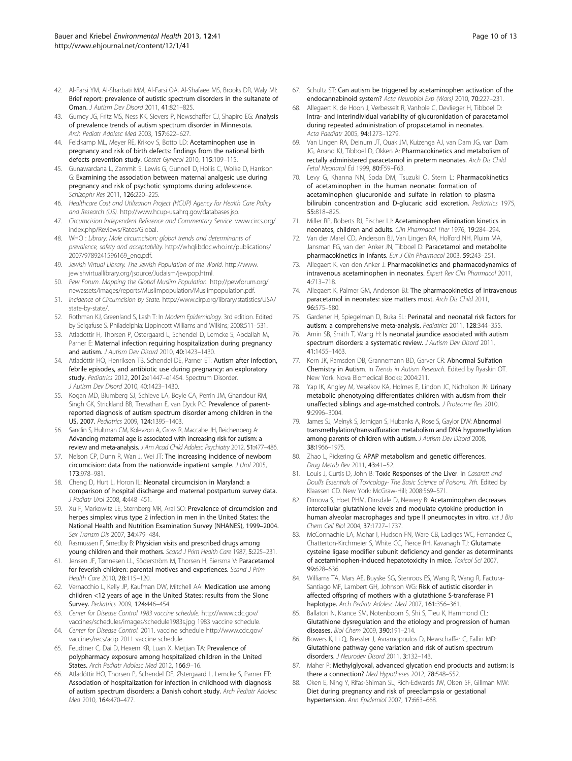- <span id="page-9-0"></span>42. Al-Farsi YM, Al-Sharbati MM, Al-Farsi OA, Al-Shafaee MS, Brooks DR, Waly MI: Brief report: prevalence of autistic spectrum disorders in the sultanate of Oman. J Autism Dev Disord 2011, 41:821–825.
- 43. Gurney JG, Fritz MS, Ness KK, Sievers P, Newschaffer CJ, Shapiro EG: Analysis of prevalence trends of autism spectrum disorder in Minnesota. Arch Pediatr Adolesc Med 2003, 157:622–627.
- 44. Feldkamp ML, Meyer RE, Krikov S, Botto LD: Acetaminophen use in pregnancy and risk of birth defects: findings from the national birth defects prevention study. Obstet Gynecol 2010, 115:109–115.
- 45. Gunawardana L, Zammit S, Lewis G, Gunnell D, Hollis C, Wolke D, Harrison G: Examining the association between maternal analgesic use during pregnancy and risk of psychotic symptoms during adolescence. Schizophr Res 2011, 126:220–225.
- 46. Healthcare Cost and Utilization Project (HCUP) Agency for Health Care Policy and Research (US). <http://www.hcup-us.ahrq.gov/databases.jsp>.
- 47. Circumcision Independent Reference and Commentary Service. [www.circs.org/](http://www.circs.org/index.php/Reviews/Rates/Global) [index.php/Reviews/Rates/Global](http://www.circs.org/index.php/Reviews/Rates/Global).
- 48. WHO : Library: Male circumcision: global trends and determinants of prevalence, safety and acceptability. [http://whqlibdoc.who.int/publications/](http://whqlibdoc.who.int/publications/2007/9789241596169_eng.pdf) [2007/9789241596169\\_eng.pdf.](http://whqlibdoc.who.int/publications/2007/9789241596169_eng.pdf)
- 49. Jewish Virtual Library. The Jewish Population of the World. [http://www.](http://www.jewishvirtuallibrary.org/jsource/Judaism/jewpop.html) [jewishvirtuallibrary.org/jsource/Judaism/jewpop.html.](http://www.jewishvirtuallibrary.org/jsource/Judaism/jewpop.html)
- 50. Pew Forum. Mapping the Global Muslim Population. [http://pewforum.org/](http://pewforum.org/newassets/images/reports/Muslimpopulation/Muslimpopulation.pdf) [newassets/images/reports/Muslimpopulation/Muslimpopulation.pdf.](http://pewforum.org/newassets/images/reports/Muslimpopulation/Muslimpopulation.pdf)
- 51. Incidence of Circumcision by State. [http://www.cirp.org/library/statistics/USA/](http://www.cirp.org/library/statistics/USA/state-by-state/) [state-by-state/](http://www.cirp.org/library/statistics/USA/state-by-state/).
- 52. Rothman KJ, Greenland S, Lash T: In Modern Epidemiology. 3rd edition. Edited by Seigafuse S. Philadelphia: Lippincott Williams and Wilkins; 2008:511–531.
- 53. Atladottir H, Thorsen P, Ostergaard L, Schendel D, Lemcke S, Abdallah M, Parner E: Maternal infection requiring hospitalization during pregnancy and autism. J Autism Dev Disord 2010, 40:1423–1430.
- 54. Atladóttir HÓ, Henriksen TB, Schendel DE, Parner ET: Autism after infection, febrile episodes, and antibiotic use during pregnancy: an exploratory study. Pediatrics 2012, 2012:e1447–e1454. Spectrum Disorder. J Autism Dev Disord 2010, 40:1423–1430.
- 55. Kogan MD, Blumberg SJ, Schieve LA, Boyle CA, Perrin JM, Ghandour RM, Singh GK, Strickland BB, Trevathan E, van Dyck PC: Prevalence of parentreported diagnosis of autism spectrum disorder among children in the US, 2007. Pediatrics 2009, 124:1395–1403.
- 56. Sandin S, Hultman CM, Kolevzon A, Gross R, Maccabe JH, Reichenberg A: Advancing maternal age is associated with increasing risk for autism: a review and meta-analysis. J Am Acad Child Adolesc Psychiatry 2012, 51:477–486.
- 57. Nelson CP, Dunn R, Wan J, Wei JT: The increasing incidence of newborn circumcision: data from the nationwide inpatient sample. J Urol 2005, 173:978–981.
- 58. Cheng D, Hurt L, Horon IL: Neonatal circumcision in Maryland: a comparison of hospital discharge and maternal postpartum survey data. J Pediatr Urol 2008, 4:448–451.
- 59. Xu F, Markowitz LE, Sternberg MR, Aral SO: Prevalence of circumcision and herpes simplex virus type 2 infection in men in the United States: the National Health and Nutrition Examination Survey (NHANES), 1999–2004. Sex Transm Dis 2007, 34:479–484.
- 60. Rasmussen F, Smedby B: Physician visits and prescribed drugs among young children and their mothers. Scand J Prim Health Care 1987, 5:225-231.
- 61. Jensen JF, Tønnesen LL, Söderström M, Thorsen H, Siersma V: Paracetamol for feverish children: parental motives and experiences. Scand J Prim Health Care 2010, 28:115–120.
- 62. Vernacchio L, Kelly JP, Kaufman DW, Mitchell AA: Medication use among children <12 years of age in the United States: results from the Slone Survey. Pediatrics 2009, 124:446–454.
- 63. Center for Disease Control 1983 vaccine schedule. [http://www.cdc.gov/](http://www.cdc.gov/vaccines/schedules/images/schedule1983s.jpg) [vaccines/schedules/images/schedule1983s.jpg](http://www.cdc.gov/vaccines/schedules/images/schedule1983s.jpg) 1983 vaccine schedule.
- 64. Center for Disease Control. 2011. vaccine schedule [http://www.cdc.gov/](http://www.cdc.gov/vaccines/recs/acip) [vaccines/recs/acip](http://www.cdc.gov/vaccines/recs/acip) 2011 vaccine schedule.
- 65. Feudtner C, Dai D, Hexem KR, Luan X, Metjian TA: Prevalence of polypharmacy exposure among hospitalized children in the United States. Arch Pediatr Adolesc Med 2012, 166:9-16.
- 66. Atladóttir HO, Thorsen P, Schendel DE, Østergaard L, Lemcke S, Parner ET: Association of hospitalization for infection in childhood with diagnosis of autism spectrum disorders: a Danish cohort study. Arch Pediatr Adolesc Med 2010, 164:470–477.
- 67. Schultz ST: Can autism be triggered by acetaminophen activation of the endocannabinoid system? Acta Neurobiol Exp (Wars) 2010, 70:227–231.
- 68. Allegaert K, de Hoon J, Verbesselt R, Vanhole C, Devlieger H, Tibboel D: Intra- and interindividual variability of glucuronidation of paracetamol during repeated administration of propacetamol in neonates. Acta Paediatr 2005, 94:1273–1279.
- 69. Van Lingen RA, Deinum JT, Quak JM, Kuizenga AJ, van Dam JG, van Dam JG, Anand KJ, Tibboel D, Okken A: Pharmacokinetics and metabolism of rectally administered paracetamol in preterm neonates. Arch Dis Child Fetal Neonatal Ed 1999, 80:F59–F63.
- 70. Levy G, Khanna NN, Soda DM, Tsuzuki O, Stern L: Pharmacokinetics of acetaminophen in the human neonate: formation of acetaminophen glucuronide and sulfate in relation to plasma bilirubin concentration and D-glucaric acid excretion. Pediatrics 1975, 55:818–825.
- 71. Miller RP, Roberts RJ, Fischer LJ: Acetaminophen elimination kinetics in neonates, children and adults. Clin Pharmacol Ther 1976, 19:284–294.
- 72. Van der Marel CD, Anderson BJ, Van Lingen RA, Holford NH, Pluim MA, Jansman FG, van den Anker JN, Tibboel D: Paracetamol and metabolite pharmacokinetics in infants. Eur J Clin Pharmacol 2003, 59:243–251.
- 73. Allegaert K, van den Anker J: Pharmacokinetics and pharmacodynamics of intravenous acetaminophen in neonates. Expert Rev Clin Pharmacol 2011, 4:713–718.
- 74. Allegaert K, Palmer GM, Anderson BJ: The pharmacokinetics of intravenous paracetamol in neonates: size matters most. Arch Dis Child 2011, 96:575–580.
- 75. Gardener H, Spiegelman D, Buka SL: Perinatal and neonatal risk factors for autism: a comprehensive meta-analysis. Pediatrics 2011, 128:344–355.
- 76. Amin SB, Smith T, Wang H: Is neonatal jaundice associated with autism spectrum disorders: a systematic review. J Autism Dev Disord 2011, 41:1455–1463.
- 77. Kern JK, Ramsden DB, Grannemann BD, Garver CR: Abnormal Sulfation Chemistry in Autism. In Trends in Autism Research. Edited by Ryaskin OT. New York: Nova Biomedical Books; 2004:211.
- 78. Yap IK, Angley M, Veselkov KA, Holmes E, Lindon JC, Nicholson JK: Urinary metabolic phenotyping differentiates children with autism from their unaffected siblings and age-matched controls. J Proteome Res 2010, 9:2996–3004.
- 79. James SJ, Melnyk S, Jernigan S, Hubanks A, Rose S, Gaylor DW: Abnormal transmethylation/transsulfuration metabolism and DNA hypomethylation among parents of children with autism. J Autism Dev Disord 2008, 38:1966–1975.
- Zhao L, Pickering G: APAP metabolism and genetic differences. Drug Metab Rev 2011, 43:41–52.
- 81. Louis J, Curtis D, John B: Toxic Responses of the Liver. In Casarett and Doull's Essentials of Toxicology- The Basic Science of Poisons. 7th. Edited by Klaassen CD. New York: McGraw-Hill; 2008:569–571.
- 82. Dimova S, Hoet PHM, Dinsdale D, Newery B: Acetaminophen decreases intercellular glutathione levels and modulate cytokine production in human alveolar macrophages and type II pneumocytes in vitro. Int J Bio Chem Cell Biol 2004, 37:1727–1737.
- 83. McConnachie LA, Mohar I, Hudson FN, Ware CB, Ladiges WC, Fernandez C, Chatterton-Kirchmeier S, White CC, Pierce RH, Kavanagh TJ: Glutamate cysteine ligase modifier subunit deficiency and gender as determinants of acetaminophen-induced hepatotoxicity in mice. Toxicol Sci 2007, 99:628–636.
- Williams TA, Mars AE, Buyske SG, Stenroos ES, Wang R, Wang R, Factura-Santiago MF, Lambert GH, Johnson WG: Risk of autistic disorder in affected offspring of mothers with a glutathione S-transferase P1 haplotype. Arch Pediatr Adolesc Med 2007, 161:356-361.
- 85. Ballatori N, Krance SM, Notenboom S, Shi S, Tieu K, Hammond CL: Glutathione dysregulation and the etiology and progression of human diseases. Biol Chem 2009, 390:191–214.
- 86. Bowers K, Li Q, Bressler J, Avramopoulos D, Newschaffer C, Fallin MD: Glutathione pathway gene variation and risk of autism spectrum disorders. J Neurodev Disord 2011, 3:132-143.
- 87. Maher P: Methylglyoxal, advanced glycation end products and autism: is there a connection? Med Hypotheses 2012, 78:548-552.
- 88. Oken E, Ning Y, Rifas-Shiman SL, Rich-Edwards JW, Olsen SF, Gillman MW: Diet during pregnancy and risk of preeclampsia or gestational hypertension. Ann Epidemiol 2007, 17:663–668.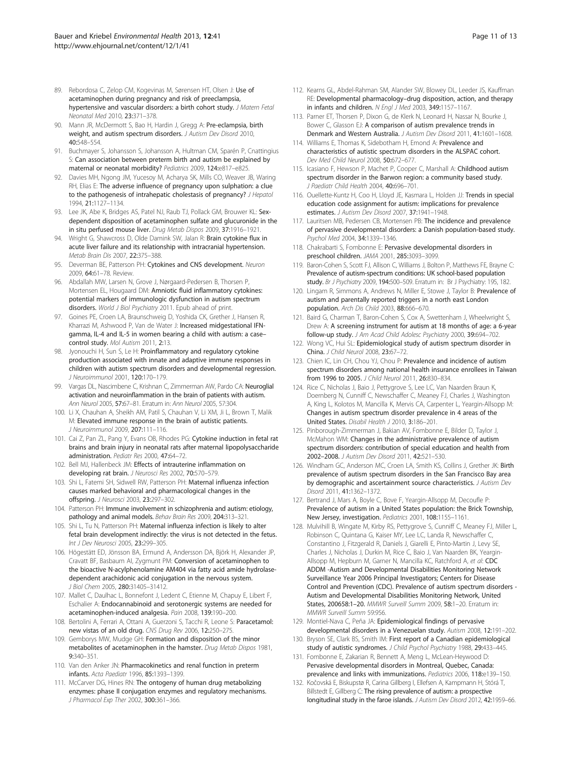- <span id="page-10-0"></span>89. Rebordosa C, Zelop CM, Kogevinas M, Sørensen HT, Olsen J: Use of acetaminophen during pregnancy and risk of preeclampsia, hypertensive and vascular disorders: a birth cohort study. J Matern Fetal Neonatal Med 2010, 23:371–378.
- 90. Mann JR, McDermott S, Bao H, Hardin J, Gregg A: Pre-eclampsia, birth weight, and autism spectrum disorders. J Autism Dev Disord 2010, 40:548–554.
- 91. Buchmayer S, Johansson S, Johansson A, Hultman CM, Sparén P, Cnattingius S: Can association between preterm birth and autism be explained by maternal or neonatal morbidity? Pediatrics 2009, 124:e817-e825.
- 92. Davies MH, Ngong JM, Yucesoy M, Acharya SK, Mills CO, Weaver JB, Waring RH, Elias E: The adverse influence of pregnancy upon sulphation: a clue to the pathogenesis of intrahepatic cholestasis of pregnancy? J Hepatol 1994, 21:1127–1134.
- 93. Lee JK, Abe K, Bridges AS, Patel NJ, Raub TJ, Pollack GM, Brouwer KL: Sexdependent disposition of acetaminophen sulfate and glucuronide in the in situ perfused mouse liver. Drug Metab Dispos 2009, 37:1916–1921.
- 94. Wright G, Shawcross D, Olde Damink SW, Jalan R: Brain cytokine flux in acute liver failure and its relationship with intracranial hypertension. Metab Brain Dis 2007, 22:375–388.
- 95. Deverman BE, Patterson PH: Cytokines and CNS development. Neuron 2009, 64:61–78. Review.
- 96. Abdallah MW, Larsen N, Grove J, Nørgaard-Pedersen B, Thorsen P, Mortensen EL, Hougaard DM: Amniotic fluid inflammatory cytokines: potential markers of immunologic dysfunction in autism spectrum disorders. World J Biol Psychiatry 2011. Epub ahead of print.
- 97. Goines PE, Croen LA, Braunschweig D, Yoshida CK, Grether J, Hansen R, Kharrazi M, Ashwood P, Van de Water J: Increased midgestational IFNgamma, IL-4 and IL-5 in women bearing a child with autism: a case– control study. Mol Autism 2011, 2:13.
- 98. Jyonouchi H, Sun S, Le H: Proinflammatory and regulatory cytokine production associated with innate and adaptive immune responses in children with autism spectrum disorders and developmental regression. J Neuroimmunol 2001, 120:170–179.
- 99. Vargas DL, Nascimbene C, Krishnan C, Zimmerman AW, Pardo CA: Neuroglial activation and neuroinflammation in the brain of patients with autism. Ann Neurol 2005, 57:67–81. Erratum in: Ann Neurol 2005, 57:304.
- 100. Li X, Chauhan A, Sheikh AM, Patil S, Chauhan V, Li XM, Ji L, Brown T, Malik M: Elevated immune response in the brain of autistic patients. J Neuroimmunol 2009, 207:111–116.
- 101. Cai Z, Pan ZL, Pang Y, Evans OB, Rhodes PG: Cytokine induction in fetal rat brains and brain injury in neonatal rats after maternal lipopolysaccharide administration. Pediatr Res 2000, 47:64–72.
- 102. Bell MJ, Hallenbeck JM: Effects of intrauterine inflammation on developing rat brain. J Neurosci Res 2002, 70:570-579.
- 103. Shi L, Fatemi SH, Sidwell RW, Patterson PH: Maternal influenza infection causes marked behavioral and pharmacological changes in the offspring. J Neurosci 2003, 23:297–302.
- 104. Patterson PH: Immune involvement in schizophrenia and autism: etiology, pathology and animal models. Behav Brain Res 2009, 204:313–321.
- 105. Shi L, Tu N, Patterson PH: Maternal influenza infection is likely to alter fetal brain development indirectly: the virus is not detected in the fetus. Int J Dev Neurosci 2005, 23:299–305.
- 106. Högestätt ED, Jönsson BA, Ermund A, Andersson DA, Björk H, Alexander JP, Cravatt BF, Basbaum AI, Zygmunt PM: Conversion of acetaminophen to the bioactive N-acylphenolamine AM404 via fatty acid amide hydrolasedependent arachidonic acid conjugation in the nervous system. J Biol Chem 2005, 280:31405–31412.
- 107. Mallet C, Daulhac L, Bonnefont J, Ledent C, Etienne M, Chapuy E, Libert F, Eschalier A: Endocannabinoid and serotonergic systems are needed for acetaminophen-induced analgesia. Pain 2008, 139:190–200.
- 108. Bertolini A, Ferrari A, Ottani A, Guerzoni S, Tacchi R, Leone S: Paracetamol: new vistas of an old drug. CNS Drug Rev 2006, 12:250–275.
- 109. Gemborys MW, Mudge GH: Formation and disposition of the minor metabolites of acetaminophen in the hamster. Drug Metab Dispos 1981, 9:340–351.
- 110. Van den Anker JN: Pharmacokinetics and renal function in preterm infants. Acta Paediatr 1996, 85:1393–1399.
- 111. McCarver DG, Hines RN: The ontogeny of human drug metabolizing enzymes: phase II conjugation enzymes and regulatory mechanisms. J Pharmacol Exp Ther 2002, 300:361–366.
- 112. Kearns GL, Abdel-Rahman SM, Alander SW, Blowey DL, Leeder JS, Kauffman RE: Developmental pharmacology–drug disposition, action, and therapy in infants and children. N Engl J Med 2003, 349:1157–1167.
- 113. Parner ET, Thorsen P, Dixon G, de Klerk N, Leonard H, Nassar N, Bourke J, Bower C, Glasson EJ: A comparison of autism prevalence trends in Denmark and Western Australia. J Autism Dev Disord 2011, 41:1601–1608.
- 114. Williams F, Thomas K, Sidebotham H, Emond A: Prevalence and characteristics of autistic spectrum disorders in the ALSPAC cohort. Dev Med Child Neurol 2008, 50:672–677.
- 115. Icasiano F, Hewson P, Machet P, Cooper C, Marshall A: Childhood autism spectrum disorder in the Barwon region: a community based study. J Paediatr Child Health 2004, 40:696–701.
- 116. Ouellette-Kuntz H, Coo H, Lloyd JE, Kasmara L, Holden JJ: Trends in special education code assignment for autism: implications for prevalence estimates. J Autism Dev Disord 2007, 37:1941-1948.
- 117. Lauritsen MB, Pedersen CB, Mortensen PB: The incidence and prevalence of pervasive developmental disorders: a Danish population-based study. Psychol Med 2004, 34:1339-1346.
- 118. Chakrabarti S, Fombonne E: Pervasive developmental disorders in preschool children. JAMA 2001, 285:3093–3099.
- 119. Baron-Cohen S, Scott FJ, Allison C, Williams J, Bolton P, Matthews FE, Brayne C: Prevalence of autism-spectrum conditions: UK school-based population study. Br J Psychiatry 2009, 194:500-509. Erratum in: Br J Psychiatry: 195, 182.
- 120. Lingam R, Simmons A, Andrews N, Miller E, Stowe J, Taylor B: Prevalence of autism and parentally reported triggers in a north east London population. Arch Dis Child 2003, 88:666-670.
- 121. Baird G, Charman T, Baron-Cohen S, Cox A, Swettenham J, Wheelwright S, Drew A: A screening instrument for autism at 18 months of age: a 6-year follow-up study. J Am Acad Child Adolesc Psychiatry 2000, 39:694–702.
- 122. Wong VC, Hui SL: Epidemiological study of autism spectrum disorder in China. J Child Neurol 2008, 23:67–72.
- 123. Chien IC, Lin CH, Chou YJ, Chou P: Prevalence and incidence of autism spectrum disorders among national health insurance enrollees in Taiwan from 1996 to 2005. J Child Neurol 2011, 26:830–834.
- 124. Rice C, Nicholas J, Baio J, Pettygrove S, Lee LC, Van Naarden Braun K, Doernberg N, Cunniff C, Newschaffer C, Meaney FJ, Charles J, Washington A, King L, Kolotos M, Mancilla K, Mervis CA, Carpenter L, Yeargin-Allsopp M: Changes in autism spectrum disorder prevalence in 4 areas of the United States. Disabil Health J 2010, 3:186–201.
- 125. Pinborough-Zimmerman J, Bakian AV, Fombonne E, Bilder D, Taylor J, McMahon WM: Changes in the administrative prevalence of autism spectrum disorders: contribution of special education and health from 2002–2008. J Autism Dev Disord 2011, 42:521–530.
- 126. Windham GC, Anderson MC, Croen LA, Smith KS, Collins J, Grether JK: Birth prevalence of autism spectrum disorders in the San Francisco Bay area by demographic and ascertainment source characteristics. J Autism Dev Disord 2011, 41:1362–1372.
- 127. Bertrand J, Mars A, Boyle C, Bove F, Yeargin-Allsopp M, Decoufle P: Prevalence of autism in a United States population: the Brick Township, New Jersey, investigation. Pediatrics 2001, 108:1155–1161.
- 128. Mulvihill B, Wingate M, Kirby RS, Pettygrove S, Cunniff C, Meaney FJ, Miller L, Robinson C, Quintana G, Kaiser MY, Lee LC, Landa R, Newschaffer C, Constantino J, Fitzgerald R, Daniels J, Giarelli E, Pinto-Martin J, Levy SE, Charles J, Nicholas J, Durkin M, Rice C, Baio J, Van Naarden BK, Yeargin-Allsopp M, Hepburn M, Garner N, Mancilla KC, Ratchford A, et al: CDC ADDM -Autism and Developmental Disabilities Monitoring Network Surveillance Year 2006 Principal Investigators; Centers for Disease Control and Prevention (CDC). Prevalence of autism spectrum disorders - Autism and Developmental Disabilities Monitoring Network, United States, 200658:1–20. MMWR Surveill Summ 2009, 58:1–20. Erratum in: MMWR Surveill Summ 59:956.
- 129. Montiel-Nava C, Peña JA: Epidemiological findings of pervasive developmental disorders in a Venezuelan study. Autism 2008, 12:191–202.
- 130. Bryson SE, Clark BS, Smith IM: First report of a Canadian epidemiological study of autistic syndromes. J Child Psychol Psychiatry 1988, 29:433-445.
- 131. Fombonne E, Zakarian R, Bennett A, Meng L, McLean-Heywood D: Pervasive developmental disorders in Montreal, Quebec, Canada: prevalence and links with immunizations. Pediatrics 2006, 118:e139-150.
- 132. Kočovská E, Biskupstø R, Carina Gillberg I, Ellefsen A, Kampmann H, Stórá T, Billstedt E, Gillberg C: The rising prevalence of autism: a prospective longitudinal study in the faroe islands. J Autism Dev Disord 2012, 42:1959-66.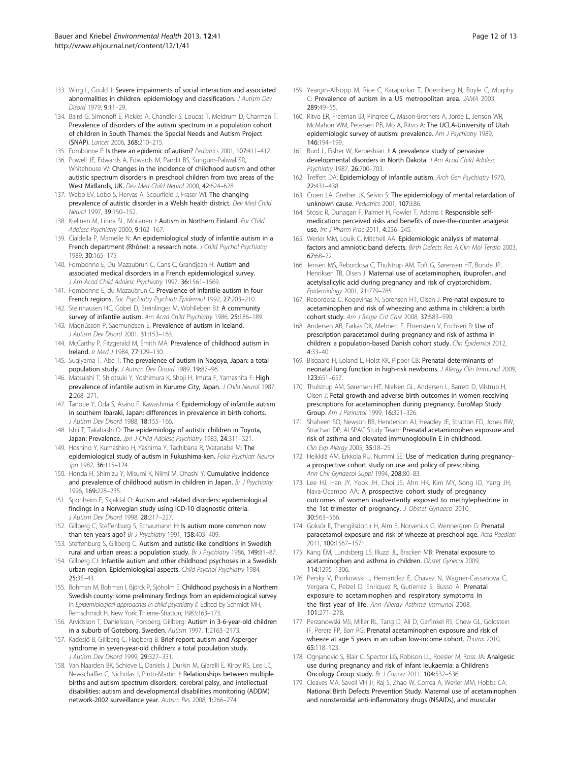- <span id="page-11-0"></span>133. Wing L, Gould J: Severe impairments of social interaction and associated abnormalities in children: epidemiology and classification. J Autism Dev Disord 1979, 9:11–29.
- 134. Baird G, Simonoff E, Pickles A, Chandler S, Loucas T, Meldrum D, Charman T: Prevalence of disorders of the autism spectrum in a population cohort of children in South Thames: the Special Needs and Autism Project (SNAP). Lancet 2006, 368:210–215.
- 135. Fombonne E: Is there an epidemic of autism? Pediatrics 2001, 107:411–412.
- 136. Powell JE, Edwards A, Edwards M, Pandit BS, Sungum-Paliwal SR, Whitehouse W: Changes in the incidence of childhood autism and other autistic spectrum disorders in preschool children from two areas of the West Midlands, UK. Dev Med Child Neurol 2000, 42:624–628.
- 137. Webb EV, Lobo S, Hervas A, Scourfield J, Fraser WI: The changing prevalence of autistic disorder in a Welsh health district. Dev Med Child Neurol 1997, 39:150-152.
- 138. Kielinen M, Linna SL, Moilanen I: Autism in Northern Finland. Eur Child Adolesc Psychiatry 2000, 9:162–167.
- 139. Cialdella P, Mamelle N: An epidemiological study of infantile autism in a French department (Rhône): a research note. J Child Psychol Psychiatry 1989, 30:165–175.
- 140. Fombonne E, Du Mazaubrun C, Cans C, Grandiean H: Autism and associated medical disorders in a French epidemiological survey. J Am Acad Child Adolesc Psychiatry 1997, 36:1561–1569.
- 141. Fombonne E, du Mazaubrun C: Prevalence of infantile autism in four French regions. Soc Psychiatry Psychiatr Epidemiol 1992, 27:203–210.
- 142. Steinhausen HC, Göbel D, Breinlinger M, Wohlleben BJ: A community survey of infantile autism. Am Acad Child Psychiatry 1986, 25:186-189.
- 143. Magnússon P, Saemundsen E: Prevalence of autism in Iceland. J Autism Dev Disord 2001, 31:153–163.
- 144. McCarthy P, Fitzgerald M, Smith MA: Prevalence of childhood autism in Ireland. Ir Med J 1984, 77:129–130.
- 145. Sugiyama T, Abe T: The prevalence of autism in Nagoya, Japan: a total population study. J Autism Dev Disord 1989, 19:87-96.
- 146. Matsuishi T, Shiotsuki Y, Yoshimura K, Shoji H, Imuta F, Yamashita F: High prevalence of infantile autism in Kurume City, Japan. J Child Neurol 1987, 2:268–271.
- 147. Tanoue Y, Oda S, Asano F, Kawashima K: Epidemiology of infantile autism in southern Ibaraki, Japan: differences in prevalence in birth cohorts. J Autism Dev Disord 1988, 18:155–166.
- 148. Ishii T, Takahashi O: The epidemiology of autistic children in Toyota, Japan: Prevalence. Jpn J Child Adolesc Psychiatry 1983, 24:311-321.
- 149. Hoshino Y, Kumashiro H, Yashima Y, Tachibana R, Watanabe M: The epidemiological study of autism in Fukushima-ken. Folia Psychiatr Neurol Jpn 1982, 36:115–124.
- 150. Honda H, Shimizu Y, Misumi K, Niimi M, Ohashi Y: Cumulative incidence and prevalence of childhood autism in children in Japan. Br J Psychiatry 1996, 169:228–235.
- 151. Sponheim E, Skjeldal O: Autism and related disorders: epidemiological findings in a Norwegian study using ICD-10 diagnostic criteria. J Autism Dev Disord 1998, 28:217–227.
- 152. Gillberg C, Steffenburg S, Schaumann H: Is autism more common now than ten years ago? Br J Psychiatry 1991, 158:403-409.
- 153. Steffenburg S, Gillberg C: Autism and autistic-like conditions in Swedish rural and urban areas: a population study. Br J Psychiatry 1986, 149:81-87.
- 154. Gillberg CJ: Infantile autism and other childhood psychoses in a Swedish urban region. Epidemiological aspects. Child Psychol Psychiatry 1984, 25:35–43.
- 155. Bohman M, Bohman I, Björck P, Sjöholm E: Childhood psychosis in a Northern Swedish county: some preliminary findings from an epidemiological survey. In Epidemiological approaches in child psychiatry II. Edited by Schmidt MH, Remschmidt H. New York: Thieme-Stratton; 1983:163–173.
- 156. Arvidsson T, Danielsson, Forsberg, Gillberg: Autism in 3-6-year-old children in a suburb of Goteborg, Sweden. Autism 1997, 1:2163–2173.
- 157. Kadesjö B, Gillberg C, Hagberg B: Brief report: autism and Asperger syndrome in seven-year-old children: a total population study. J Autism Dev Disord 1999, 29:327–331.
- 158. Van Naarden BK, Schieve L, Daniels J, Durkin M, Giarelli E, Kirby RS, Lee LC, Newschaffer C, Nicholas J, Pinto-Martin J: Relationships between multiple births and autism spectrum disorders, cerebral palsy, and intellectual disabilities: autism and developmental disabilities monitoring (ADDM) network-2002 surveillance year. Autism Res 2008, 1:266–274.
- 159. Yeargin-Allsopp M, Rice C, Karapurkar T, Doernberg N, Boyle C, Murphy C: Prevalence of autism in a US metropolitan area. JAMA 2003, 289:49–55.
- 160. Ritvo ER, Freeman BJ, Pingree C, Mason-Brothers A, Jorde L, Jenson WR, McMahon WM, Petersen PB, Mo A, Ritvo A: The UCLA-University of Utah epidemiologic survey of autism: prevalence. Am J Psychiatry 1989, 146:194–199.
- 161. Burd L, Fisher W, Kerbeshian J: A prevalence study of pervasive developmental disorders in North Dakota. J Am Acad Child Adolesc Psychiatry 1987, 26:700–703.
- 162. Treffert DA: Epidemiology of infantile autism. Arch Gen Psychiatry 1970, 22:431–438.
- 163. Croen LA, Grether JK, Selvin S: The epidemiology of mental retardation of unknown cause. Pediatrics 2001, 107:E86.
- 164. Stosic R, Dunagan F, Palmer H, Fowler T, Adams I: Responsible selfmedication: perceived risks and benefits of over-the-counter analgesic use. Int J Pharm Prac 2011, 4:236–245.
- 165. Werler MM, Louik C, Mitchell AA: Epidemiologic analysis of maternal factors and amniotic band defects. Birth Defects Res A Clin Mol Terato 2003, 67:68–72.
- 166. Jensen MS, Rebordosa C, Thulstrup AM, Toft G, Sørensen HT, Bonde JP, Henriksen TB, Olsen J: Maternal use of acetaminophen, ibuprofen, and acetylsalicylic acid during pregnancy and risk of cryptorchidism. Epidemiology 2001, 21:779–785.
- 167. Rebordosa C, Kogevinas N, Sorensen HT, Olsen J: Pre-natal exposure to acetaminophen and risk of wheezing and asthma in children: a birth cohort study. Am J Respir Crit Care 2008, 37:583-590.
- 168. Andersen AB, Farkas DK, Mehnert F, Ehrenstein V, Erichsen R: Use of prescription paracetamol during pregnancy and risk of asthma in children: a population-based Danish cohort study. Clin Epidemiol 2012, 4:33–40.
- 169. Bisgaard H, Loland L, Holst KK, Pipper CB: Prenatal determinants of neonatal lung function in high-risk newborns. J Allergy Clin Immunol 2009, 123:651–657.
- 170. Thulstrup AM, Sørensen HT, Nielsen GL, Andersen L, Barrett D, Vilstrup H, Olsen J: Fetal growth and adverse birth outcomes in women receiving prescriptions for acetaminophen during pregnancy. EuroMap Study Group. Am J Perinatol 1999, 16:321–326.
- 171. Shaheen SO, Newson RB, Henderson AJ, Headley JE, Stratton FD, Jones RW, Strachan DP, ALSPAC Study Team: Prenatal acetaminophen exposure and risk of asthma and elevated immunoglobulin E in childhood. Clin Exp Allergy 2005, 35:18–25.
- 172. Heikkilä AM, Erkkola RU, Nummi SE: Use of medication during pregnancya prospective cohort study on use and policy of prescribing. Ann Chir Gynaecol Suppl 1994, 208:80-83.
- 173. Lee HJ, Han JY, Yook JH, Choi JS, Ahn HK, Kim MY, Song IO, Yang JH, Nava-Ocampo AA: A prospective cohort study of pregnancy outcomes of women inadvertently exposed to methylephedrine in the 1st trimester of pregnancy. J Obstet Gynaeco 2010, 30:563–566.
- 174. Goksör E, Thengilsdottir H, Alm B, Norvenius G, Wennergren G: Prenatal paracetamol exposure and risk of wheeze at preschool age. Acta Paediatr 2011, 100:1567–1571.
- 175. Kang EM, Lundsberg LS, Illuzzi JL, Bracken MB: Prenatal exposure to acetaminophen and asthma in children. Obstet Gynecol 2009, 114:1295–1306.
- 176. Persky V, Piorkowski J, Hernandez E, Chavez N, Wagner-Cassanova C, Vergara C, Pelzel D, Enriquez R, Gutierrez S, Busso A: Prenatal exposure to acetaminophen and respiratory symptoms in the first year of life. Ann Allergy Asthma Immunol 2008, 101:271–278.
- 177. Perzanowski MS, Miller RL, Tang D, Ali D, Garfinkel RS, Chew GL, Goldstein IF, Perera FP, Barr RG: Prenatal acetaminophen exposure and risk of wheeze at age 5 years in an urban low-income cohort. Thorax 2010, 65:118–123.
- 178. Ognjanovic S, Blair C, Spector LG, Robison LL, Roesler M, Ross JA: Analgesic use during pregnancy and risk of infant leukaemia: a Children's Oncology Group study. Br J Cancer 2011, 104:532–536.
- 179. Cleaves MA, Savell VH Jr, Raj S, Zhao W, Correa A, Werler MM, Hobbs CA: National Birth Defects Prevention Study. Maternal use of acetaminophen and nonsteroidal anti-inflammatory drugs (NSAIDs), and muscular